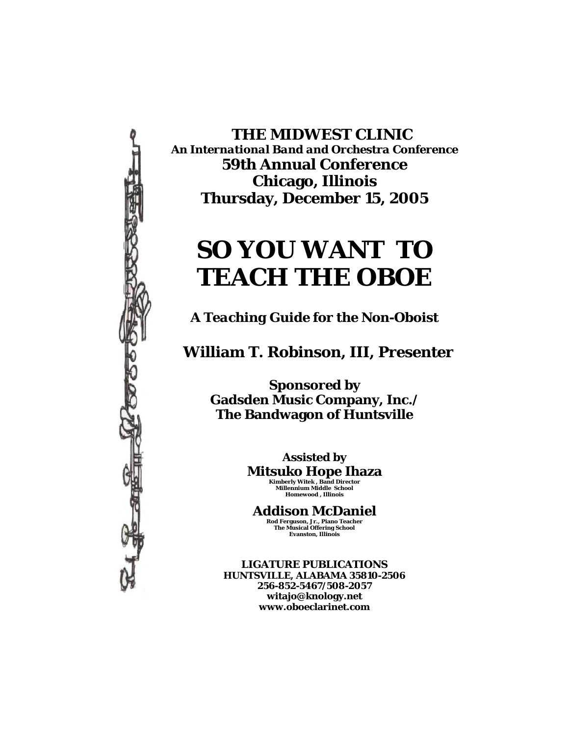

 **THE MIDWEST CLINIC**  *An International Band and Orchestra Conference*  **59th Annual Conference Chicago, Illinois Thursday, December 15, 2005** 

# **SO YOU WANT TO TEACH THE OBOE**

*A Teaching Guide for the Non-Oboist*

 **William T. Robinson, III, Presenter** 

**Sponsored by Gadsden Music Company, Inc./ The Bandwagon of Huntsville** 

> **Assisted by Mitsuko Hope Ihaza Kimberly Witek , Band Director Millennium Middle School Homewood , Illinois**

**Addison McDaniel Rod Ferguson, Jr., Piano Teacher The Musical Offering School Evanston, Illinois** 

**LIGATURE PUBLICATIONS HUNTSVILLE, ALABAMA 35810-2506 256-852-5467/508-2057 witajo@knology.net www.oboeclarinet.com**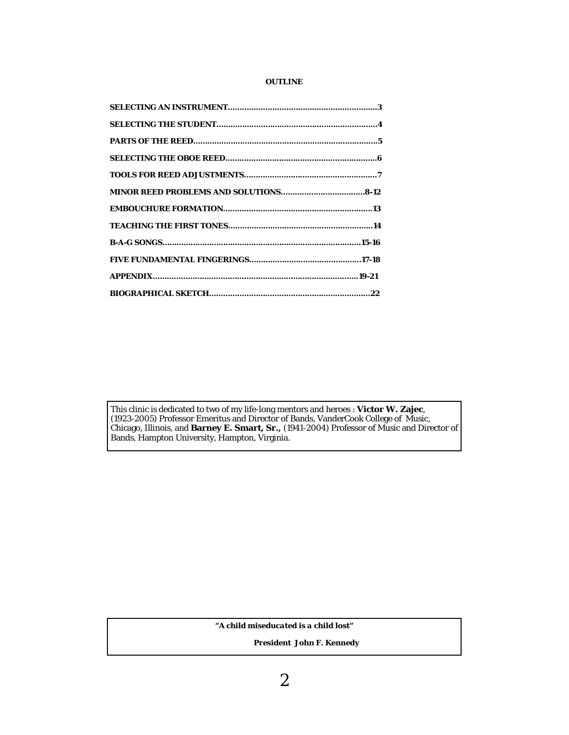#### **OUTLINE**

This clinic is dedicated to two of my life-long mentors and heroes : **Victor W. Zajec**, (1923-2005) Professor Emeritus and Director of Bands, VanderCook College of Music, Chicago, Illinois, and **Barney E. Smart, Sr.,** (1941-2004) Professor of Music and Director of Bands, Hampton University, Hampton, Virginia.

*"A child miseducated is a child lost"* 

 *President John F. Kennedy*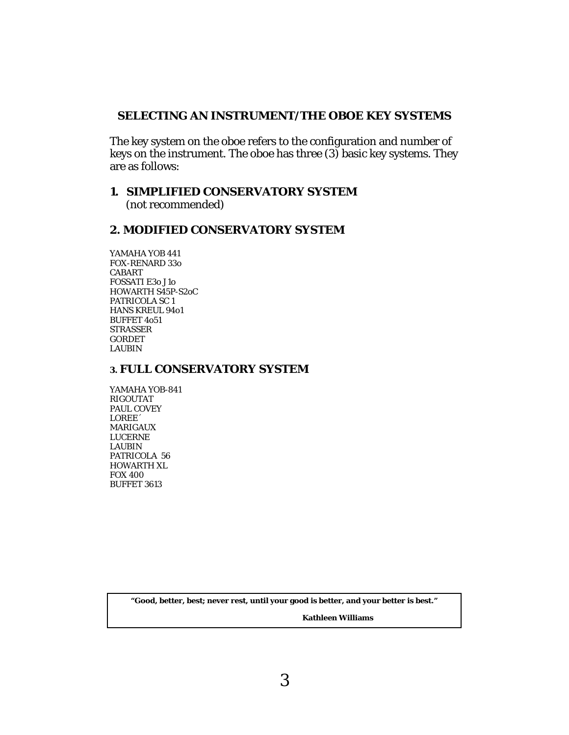## **SELECTING AN INSTRUMENT/THE OBOE KEY SYSTEMS**

The key system on the oboe refers to the configuration and number of keys on the instrument. The oboe has three (3) basic key systems. They are as follows:

## **1. SIMPLIFIED CONSERVATORY SYSTEM**

(not recommended)

## **2. MODIFIED CONSERVATORY SYSTEM**

YAMAHA YOB 441 FOX-RENARD 33o CABART FOSSATI E3o J1o HOWARTH S45P-S2oC PATRICOLA SC 1 HANS KREUL 94o1 BUFFET 4o51 STRASSER GORDET LAUBIN

#### **3. FULL CONSERVATORY SYSTEM**

YAMAHA YOB-841 RIGOUTAT PAUL COVEY LOREE´ MARIGAUX LUCERNE LAUBIN PATRICOLA 56 HOWARTH XL FOX 400 BUFFET 3613

**"Good, better, best; never rest, until your good is better, and your better is best."** 

 **Kathleen Williams**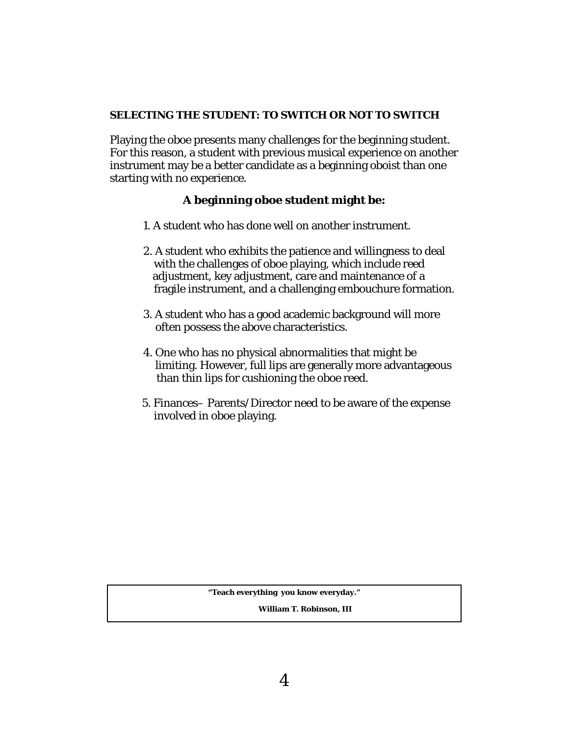#### **SELECTING THE STUDENT: TO SWITCH OR NOT TO SWITCH**

Playing the oboe presents many challenges for the beginning student. For this reason, a student with previous musical experience on another instrument may be a better candidate as a beginning oboist than one starting with no experience.

## **A beginning oboe student might be:**

- 1. A student who has done well on another instrument.
- 2. A student who exhibits the patience and willingness to deal with the challenges of oboe playing, which include reed adjustment, key adjustment, care and maintenance of a fragile instrument, and a challenging embouchure formation.
- 3. A student who has a good academic background will more often possess the above characteristics.
- 4. One who has no physical abnormalities that might be limiting. However, full lips are generally more advantageous than thin lips for cushioning the oboe reed.
- 5. Finances– Parents/Director need to be aware of the expense involved in oboe playing.

**"Teach everything you know everyday."** 

 **William T. Robinson, III**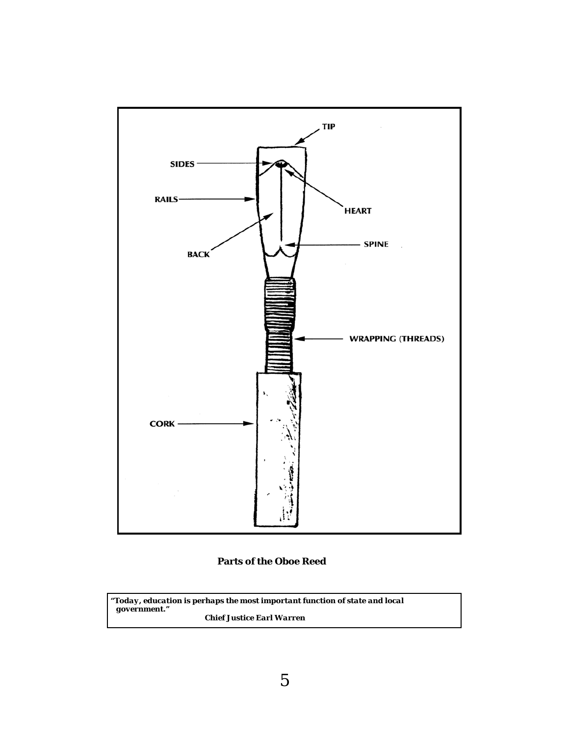

#### **Parts of the Oboe Reed**

*"Today, education is perhaps the most important function of state and local government." Chief Justice Earl Warren*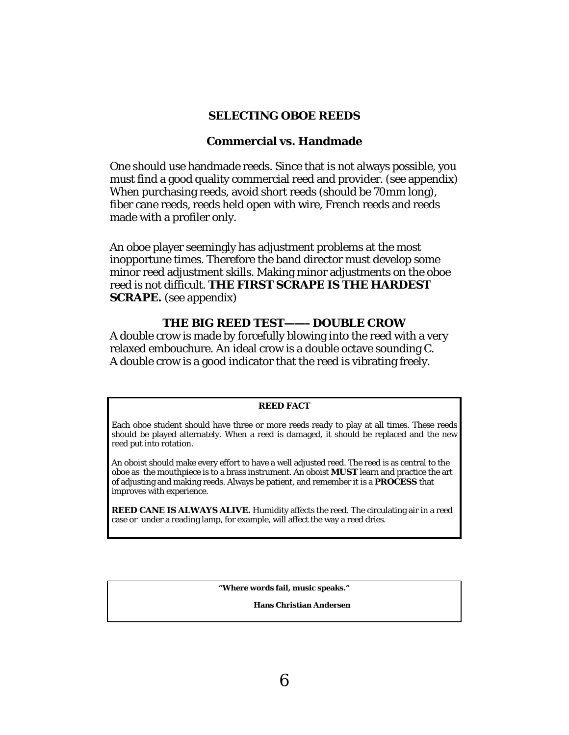#### **SELECTING OBOE REEDS**

#### **Commercial vs. Handmade**

One should use handmade reeds. Since that is not always possible, you must find a good quality commercial reed and provider. (see appendix) When purchasing reeds, avoid short reeds (should be 70mm long), fiber cane reeds, reeds held open with wire, French reeds and reeds made with a profiler only.

An oboe player seemingly has adjustment problems at the most inopportune times. Therefore the band director must develop some minor reed adjustment skills. Making minor adjustments on the oboe reed is not difficult. **THE FIRST SCRAPE IS THE HARDEST SCRAPE.** (see appendix)

## **THE BIG REED TEST——–DOUBLE CROW**

A double crow is made by forcefully blowing into the reed with a very relaxed embouchure. An ideal crow is a double octave sounding C. A double crow is a good indicator that the reed is vibrating freely.

#### **REED FACT**

Each oboe student should have three or more reeds ready to play at all times. These reeds should be played alternately. When a reed is damaged, it should be replaced and the new reed put into rotation.

An oboist should make every effort to have a well adjusted reed. The reed is as central to the oboe as the mouthpiece is to a brass instrument. An oboist **MUST** learn and practice the art of adjusting and making reeds. Always be patient, and remember it is a **PROCESS** that improves with experience.

**REED CANE IS ALWAYS ALIVE.** Humidity affects the reed. The circulating air in a reed case or under a reading lamp, for example, will affect the way a reed dries.

**"Where words fail, music speaks."** 

 **Hans Christian Andersen**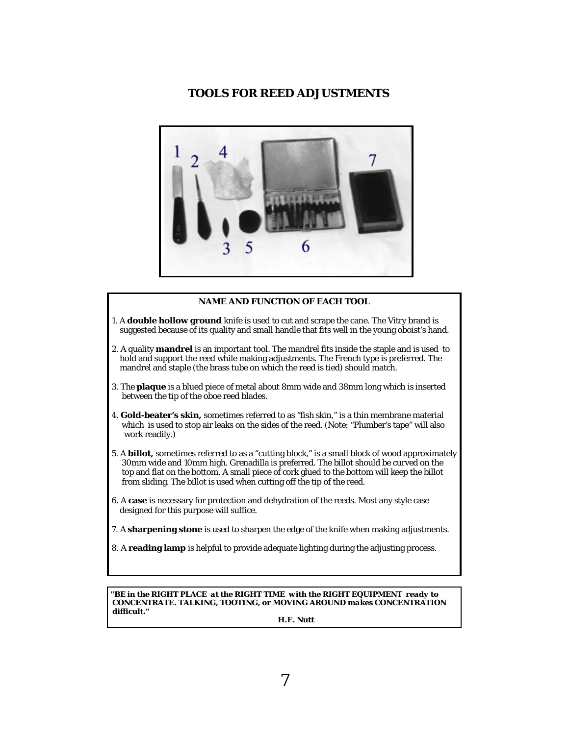## **TOOLS FOR REED ADJUSTMENTS**



#### **NAME AND FUNCTION OF EACH TOOL**

- 1. A **double hollow ground** knife is used to cut and scrape the cane. The Vitry brand is suggested because of its quality and small handle that fits well in the young oboist's hand.
- 2. A quality **mandrel** is an important tool. The mandrel fits inside the staple and is used to hold and support the reed while making adjustments. The French type is preferred. The mandrel and staple (the brass tube on which the reed is tied) should match.
- 3. The **plaque** is a blued piece of metal about 8mm wide and 38mm long which is inserted between the tip of the oboe reed blades.
- *4.* **Gold-beater's skin,** sometimes referred to as "fish skin," is a thin membrane material which is used to stop air leaks on the sides of the reed. (Note: "Plumber's tape" will also work readily.)
- 5. A **billot,** sometimes referred to as a "cutting block," is a small block of wood approximately 30mm wide and 10mm high. Grenadilla is preferred. The billot should be curved on the top and flat on the bottom. A small piece of cork glued to the bottom will keep the billot from sliding. The billot is used when cutting off the tip of the reed.
- 6. A **case** is necessary for protection and dehydration of the reeds. Most any style case designed for this purpose will suffice.
- 7. A **sharpening stone** is used to sharpen the edge of the knife when making adjustments.
- 8. A **reading lamp** is helpful to provide adequate lighting during the adjusting process.

*"BE in the RIGHT PLACE at the RIGHT TIME with the RIGHT EQUIPMENT ready to CONCENTRATE. TALKING, TOOTING, or MOVING AROUND makes CONCENTRATION difficult."* 

 *H.E. Nutt*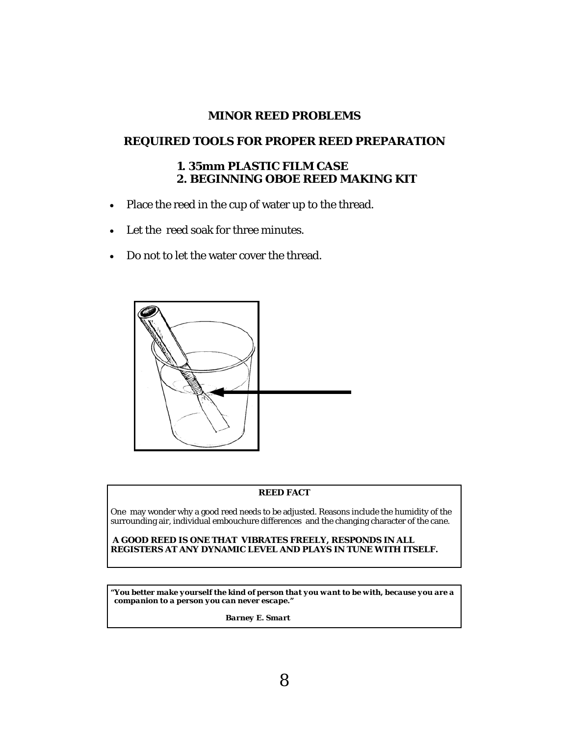## **MINOR REED PROBLEMS**

## **REQUIRED TOOLS FOR PROPER REED PREPARATION**

## **1. 35mm PLASTIC FILM CASE 2. BEGINNING OBOE REED MAKING KIT**

- Place the reed in the cup of water up to the thread.
- Let the reed soak for three minutes.
- Do not to let the water cover the thread.



#### **REED FACT**

One may wonder why a good reed needs to be adjusted. Reasons include the humidity of the surrounding air, individual embouchure differences and the changing character of the cane.

**A GOOD REED IS ONE THAT VIBRATES FREELY, RESPONDS IN ALL REGISTERS AT ANY DYNAMIC LEVEL AND PLAYS IN TUNE WITH ITSELF.** 

*"You better make yourself the kind of person that you want to be with, because you are a companion to a person you can never escape."* 

 *Barney E. Smart*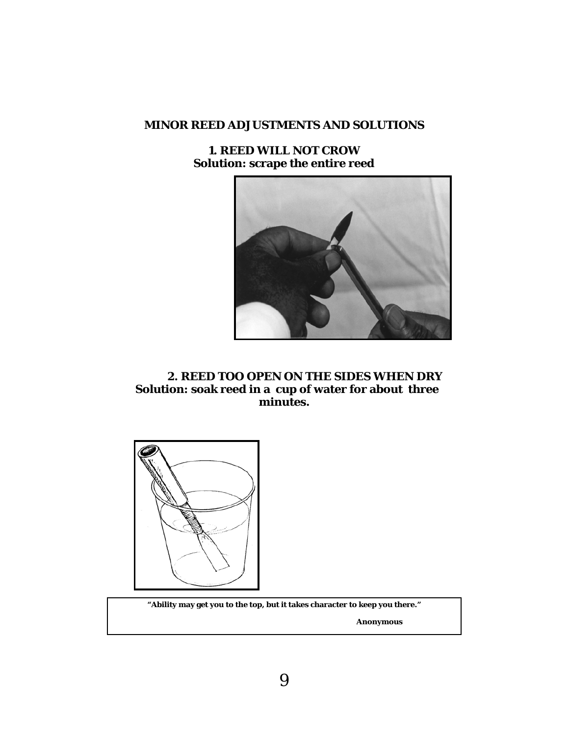**1. REED WILL NOT CROW Solution: scrape the entire reed** 



 **2. REED TOO OPEN ON THE SIDES WHEN DRY Solution: soak reed in a cup of water for about three minutes.** 



**"Ability may get you to the top, but it takes character to keep you there."** 

 **Anonymous**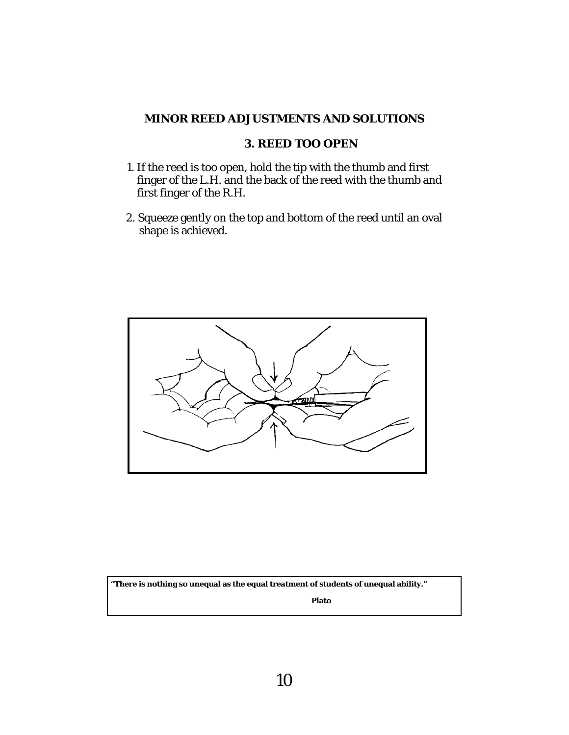## **3. REED TOO OPEN**

- 1. If the reed is too open, hold the tip with the thumb and first finger of the L.H. and the back of the reed with the thumb and first finger of the R.H.
- 2. Squeeze gently on the top and bottom of the reed until an oval shape is achieved.



**"There is nothing so unequal as the equal treatment of students of unequal ability."** 

 **Plato**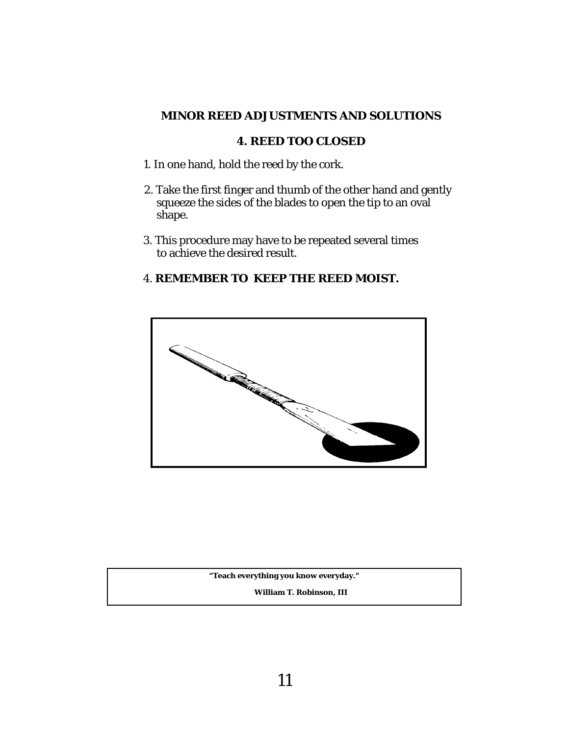## **4. REED TOO CLOSED**

- 1. In one hand, hold the reed by the cork.
- 2. Take the first finger and thumb of the other hand and gently squeeze the sides of the blades to open the tip to an oval shape.
- 3. This procedure may have to be repeated several times to achieve the desired result.

## 4. **REMEMBER TO KEEP THE REED MOIST.**



**"Teach everything you know everyday."** 

 **William T. Robinson, III**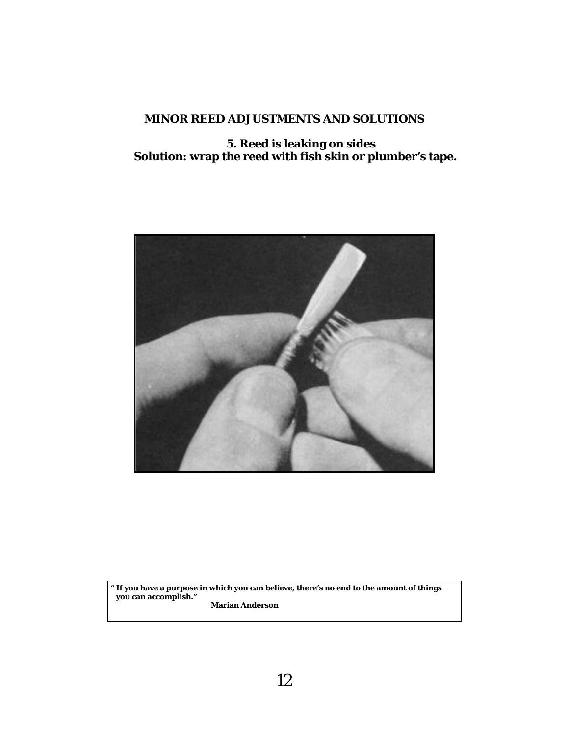**5. Reed is leaking on sides Solution: wrap the reed with fish skin or plumber's tape.** 



**" If you have a purpose in which you can believe, there's no end to the amount of things you can accomplish." Marian Anderson**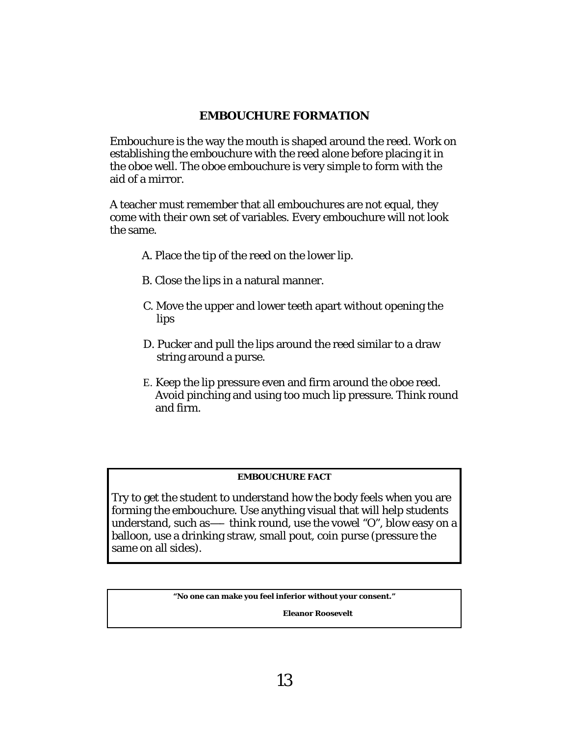## **EMBOUCHURE FORMATION**

Embouchure is the way the mouth is shaped around the reed. Work on establishing the embouchure with the reed alone before placing it in the oboe well. The oboe embouchure is very simple to form with the aid of a mirror.

A teacher must remember that all embouchures are not equal, they come with their own set of variables. Every embouchure will not look the same.

- A. Place the tip of the reed on the lower lip.
- B. Close the lips in a natural manner.
- C. Move the upper and lower teeth apart without opening the lips
- D. Pucker and pull the lips around the reed similar to a draw string around a purse.
- E. Keep the lip pressure even and firm around the oboe reed. Avoid pinching and using too much lip pressure. Think round and firm.

#### **EMBOUCHURE FACT**

Try to get the student to understand how the body feels when you are forming the embouchure. Use anything visual that will help students understand, such as—– think round, use the vowel "O", blow easy on a balloon, use a drinking straw, small pout, coin purse (pressure the same on all sides).

**"No one can make you feel inferior without your consent."** 

 **Eleanor Roosevelt**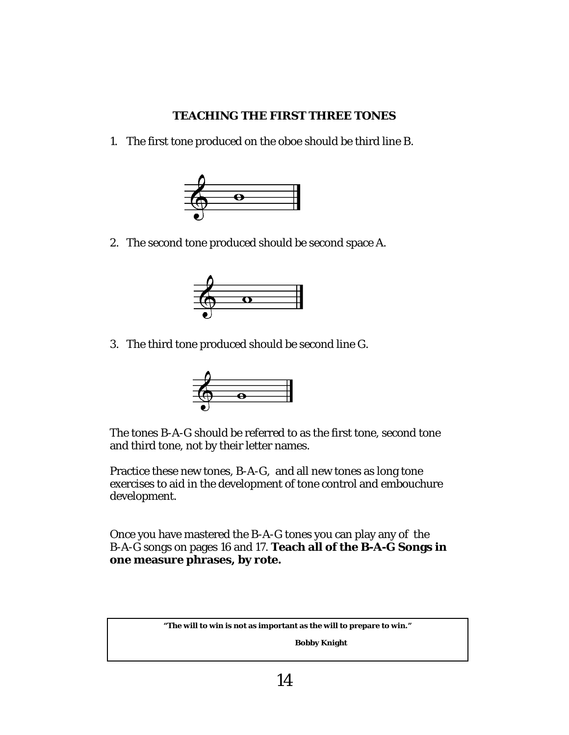## **TEACHING THE FIRST THREE TONES**

1. The first tone produced on the oboe should be third line B.



2. The second tone produced should be second space A.



3. The third tone produced should be second line G.



The tones B-A-G should be referred to as the first tone, second tone and third tone, not by their letter names.

Practice these new tones, B-A-G, and all new tones as long tone exercises to aid in the development of tone control and embouchure development.

Once you have mastered the B-A-G tones you can play any of the B-A-G songs on pages 16 and 17. **Teach all of the B-A-G Songs in one measure phrases, by rote.**

**"The will to win is not as important as the will to prepare to win."** 

 **Bobby Knight**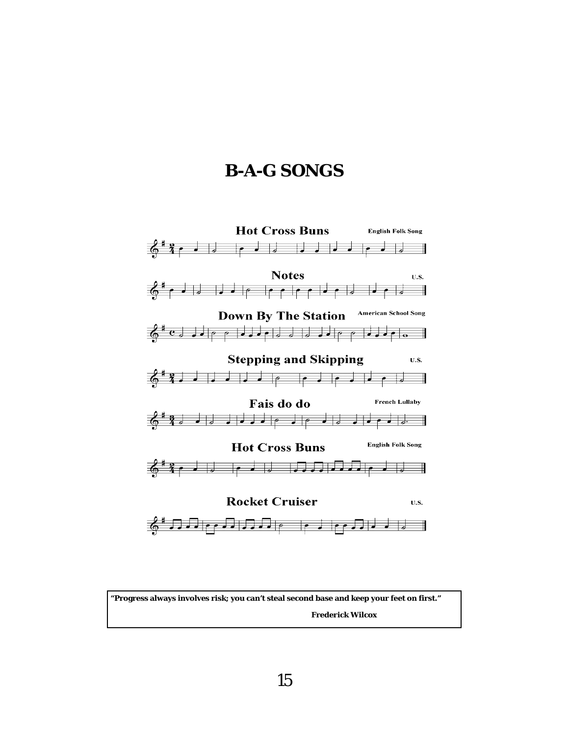## **B-A-G SONGS**



**"Progress always involves risk; you can't steal second base and keep your feet on first." Frederick Wilcox**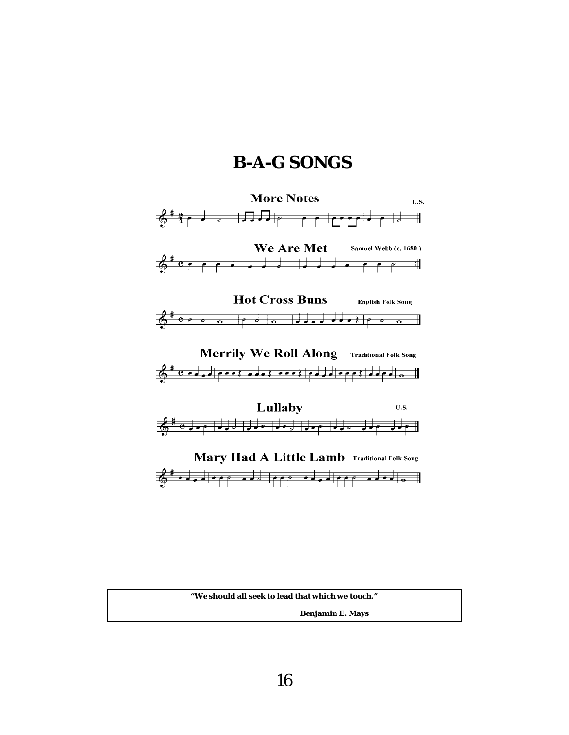## **B-A-G SONGS**



**"We should all seek to lead that which we touch."** 

 **Benjamin E. Mays**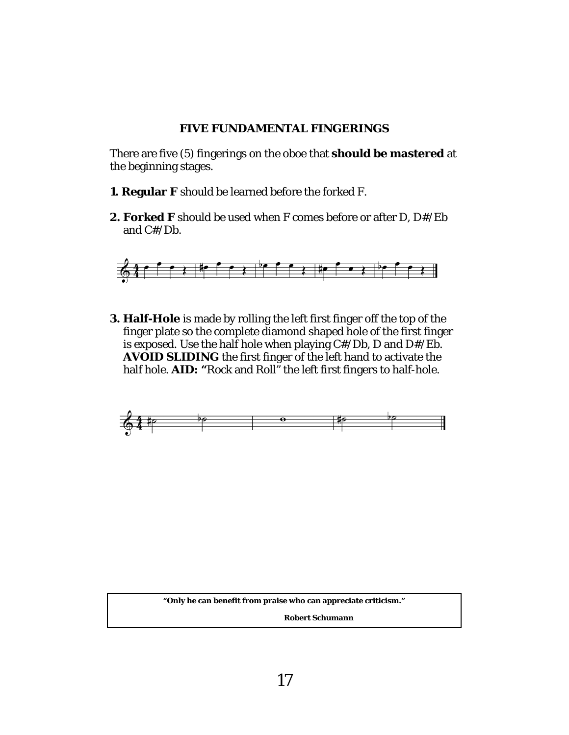#### **FIVE FUNDAMENTAL FINGERINGS**

There are five (5) fingerings on the oboe that **should be mastered** at the beginning stages.

- **1. Regular F** should be learned before the forked F.
- **2. Forked F** should be used when F comes before or after D, D#/Eb and C#/Db.



**3. Half-Hole** is made by rolling the left first finger off the top of the finger plate so the complete diamond shaped hole of the first finger is exposed. Use the half hole when playing C#/Db, D and D#/Eb. **AVOID SLIDING** the first finger of the left hand to activate the half hole. **AID: "**Rock and Roll" the left first fingers to half-hole.



**"Only he can benefit from praise who can appreciate criticism."** 

 **Robert Schumann**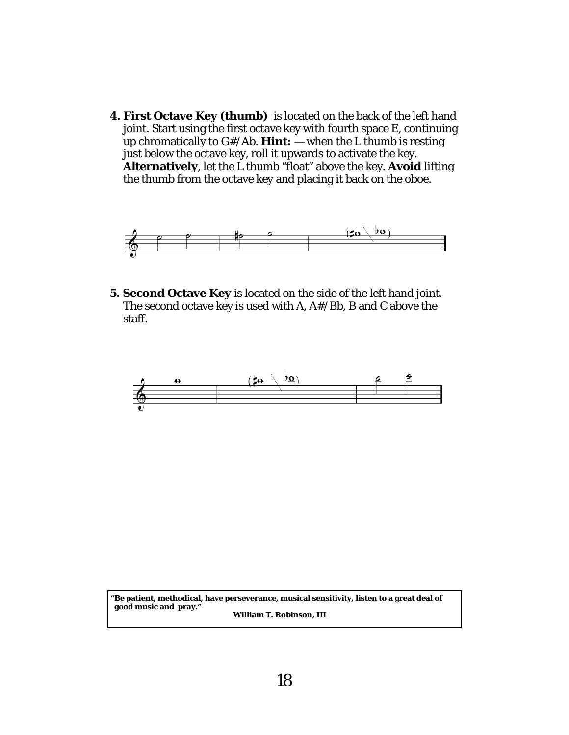**4. First Octave Key (thumb)** is located on the back of the left hand joint. Start using the first octave key with fourth space E, continuing up chromatically to G#/Ab. **Hint:** — when the L thumb is resting just below the octave key, roll it upwards to activate the key. **Alternatively**, let the L thumb "float" above the key. **Avoid** lifting the thumb from the octave key and placing it back on the oboe.



**5. Second Octave Key** is located on the side of the left hand joint. The second octave key is used with A, A#/Bb, B and C above the staff.



**"Be patient, methodical, have perseverance, musical sensitivity, listen to a great deal of good music and pray." William T. Robinson, III**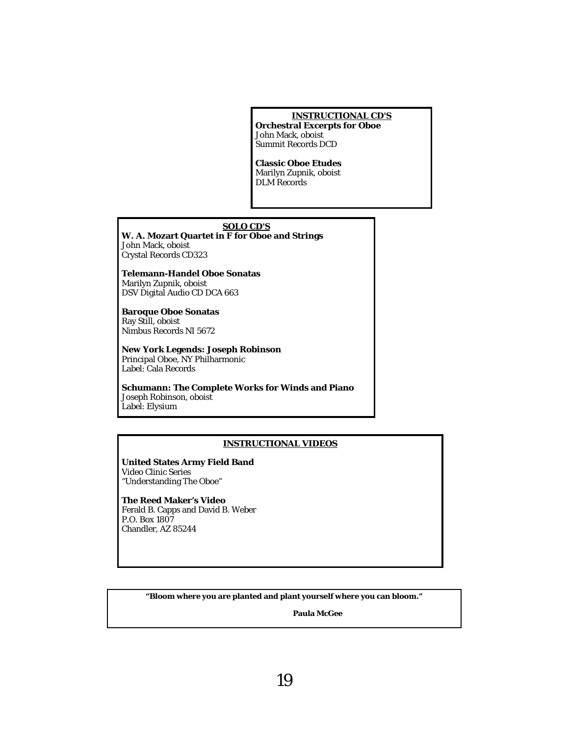#### **INSTRUCTIONAL CD'S**

**Orchestral Excerpts for Oboe**  John Mack, oboist Summit Records DCD

**Classic Oboe Etudes**  Marilyn Zupnik, oboist DLM Records

#### **SOLO CD'S**

**W. A. Mozart Quartet in F for Oboe and Strings**  John Mack, oboist Crystal Records CD323

**Telemann-Handel Oboe Sonatas**  Marilyn Zupnik, oboist DSV Digital Audio CD DCA 663

**Baroque Oboe Sonatas**  Ray Still, oboist Nimbus Records NI 5672

**New York Legends: Joseph Robinson**  Principal Oboe, NY Philharmonic Label: Cala Records

**Schumann: The Complete Works for Winds and Piano** Joseph Robinson, oboist Label: Elysium

#### **INSTRUCTIONAL VIDEOS**

**United States Army Field Band**  Video Clinic Series "Understanding The Oboe"

**The Reed Maker's Video**  Ferald B. Capps and David B. Weber P.O. Box 1807 Chandler, AZ 85244

**"Bloom where you are planted and plant yourself where you can bloom."** 

 **Paula McGee**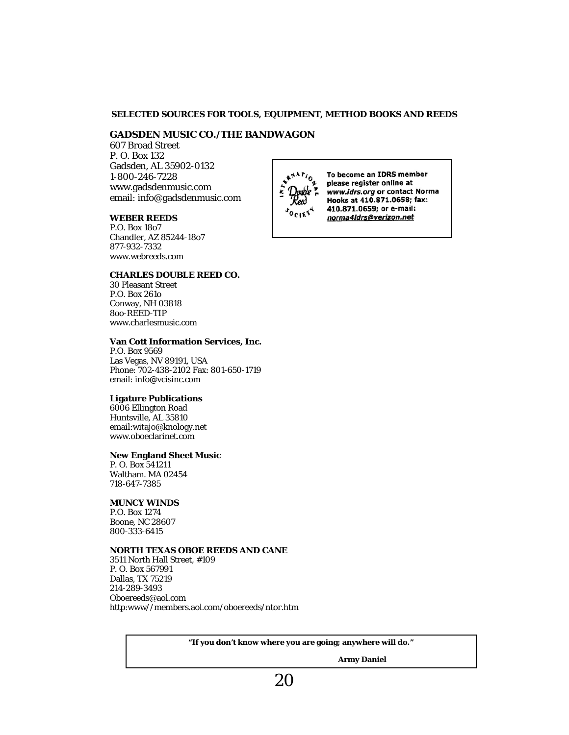#### **SELECTED SOURCES FOR TOOLS, EQUIPMENT, METHOD BOOKS AND REEDS**

#### **GADSDEN MUSIC CO./THE BANDWAGON**

607 Broad Street P. O. Box 132 Gadsden, AL 35902-0132 1-800-246-7228 www.gadsdenmusic.com email: info@gadsdenmusic.com

#### **WEBER REEDS**

P.O. Box 18o7 Chandler, AZ 85244-18o7 877-932-7332 www.webreeds.com

#### **CHARLES DOUBLE REED CO.**

30 Pleasant Street P.O. Box 261o Conway, NH 03818 8oo-REED-TIP www.charlesmusic.com

#### **Van Cott Information Services, Inc.**

P.O. Box 9569 Las Vegas, NV 89191, USA Phone: 702-438-2102 Fax: 801-650-1719 email: info@vcisinc.com

#### **Ligature Publications**

6006 Ellington Road Huntsville, AL 35810 email:witajo@knology.net www.oboeclarinet.com

#### **New England Sheet Music**

P. O. Box 541211 Waltham. MA 02454 718-647-7385

#### **MUNCY WINDS**

P.O. Box 1274 Boone, NC 28607 800-333-6415

#### **NORTH TEXAS OBOE REEDS AND CANE**

3511 North Hall Street, #109 P. O. Box 567991 Dallas, TX 75219 214-289-3493 Oboereeds@aol.com http:www//members.aol.com/oboereeds/ntor.htm

**"If you don't know where you are going; anywhere will do."** 

 **Army Daniel** 



To become an IDRS member please register online at www.idrs.org or contact Norma Hooks at 410.871.0658; fax: 410.871.0659; or e-mail: norma4idrs@verizon.net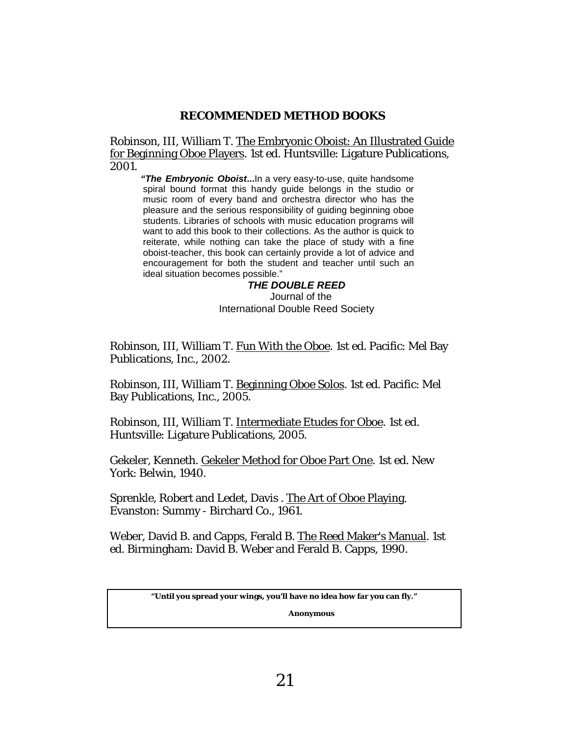## **RECOMMENDED METHOD BOOKS**

Robinson, III, William T. The Embryonic Oboist: An Illustrated Guide for Beginning Oboe Players. 1st ed. Huntsville: Ligature Publications, 2001.

 *"The Embryonic Oboist***...**In a very easy-to-use, quite handsome spiral bound format this handy guide belongs in the studio or music room of every band and orchestra director who has the pleasure and the serious responsibility of guiding beginning oboe students. Libraries of schools with music education programs will want to add this book to their collections. As the author is quick to reiterate, while nothing can take the place of study with a fine oboist-teacher, this book can certainly provide a lot of advice and encouragement for both the student and teacher until such an ideal situation becomes possible."

 *THE DOUBLE REED*  Journal of the International Double Reed Society

Robinson, III, William T. Fun With the Oboe. 1st ed. Pacific: Mel Bay Publications, Inc., 2002.

Robinson, III, William T. Beginning Oboe Solos. 1st ed. Pacific: Mel Bay Publications, Inc., 2005.

Robinson, III, William T. Intermediate Etudes for Oboe. 1st ed. Huntsville: Ligature Publications, 2005.

Gekeler, Kenneth. Gekeler Method for Oboe Part One. 1st ed. New York: Belwin, 1940.

Sprenkle, Robert and Ledet, Davis . The Art of Oboe Playing. Evanston: Summy - Birchard Co., 1961.

Weber, David B. and Capps, Ferald B. The Reed Maker's Manual. 1st ed. Birmingham: David B. Weber and Ferald B. Capps, 1990.

**"Until you spread your wings, you'll have no idea how far you can fly."** 

 **Anonymous**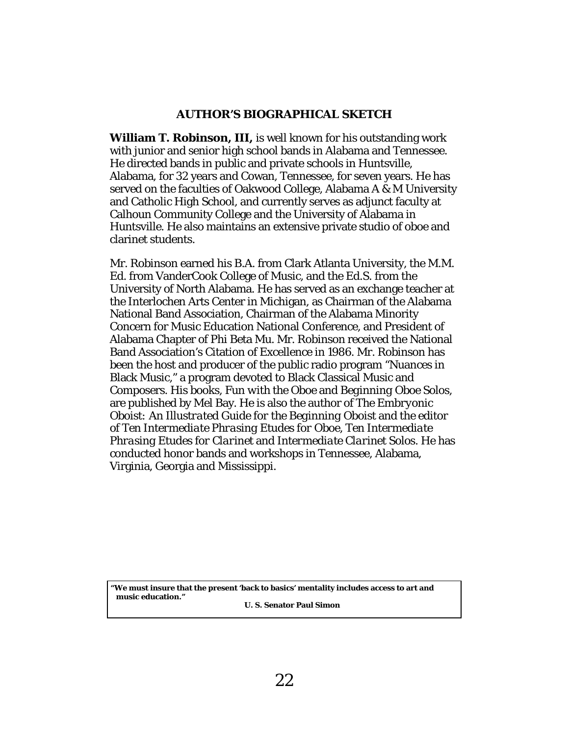## **AUTHOR'S BIOGRAPHICAL SKETCH**

**William T. Robinson, III,** is well known for his outstanding work with junior and senior high school bands in Alabama and Tennessee. He directed bands in public and private schools in Huntsville, Alabama, for 32 years and Cowan, Tennessee, for seven years. He has served on the faculties of Oakwood College, Alabama A & M University and Catholic High School, and currently serves as adjunct faculty at Calhoun Community College and the University of Alabama in Huntsville. He also maintains an extensive private studio of oboe and clarinet students.

Mr. Robinson earned his B.A. from Clark Atlanta University, the M.M. Ed. from VanderCook College of Music, and the Ed.S. from the University of North Alabama. He has served as an exchange teacher at the Interlochen Arts Center in Michigan, as Chairman of the Alabama National Band Association, Chairman of the Alabama Minority Concern for Music Education National Conference, and President of Alabama Chapter of Phi Beta Mu. Mr. Robinson received the National Band Association's Citation of Excellence in 1986. Mr. Robinson has been the host and producer of the public radio program "Nuances in Black Music," a program devoted to Black Classical Music and Composers. His books, *Fun with the Oboe* and *Beginning Oboe Solos,*  are published by Mel Bay. He is also the author of *The Embryonic Oboist: An Illustrated Guide for the Beginning Oboist* and the editor of *Ten Intermediate Phrasing Etudes for Oboe, Ten Intermediate Phrasing Etudes for Clarinet* and *Intermediate Clarinet Solos.* He has conducted honor bands and workshops in Tennessee, Alabama, Virginia, Georgia and Mississippi.

**"We must insure that the present 'back to basics' mentality includes access to art and music education."** 

 **U. S. Senator Paul Simon**